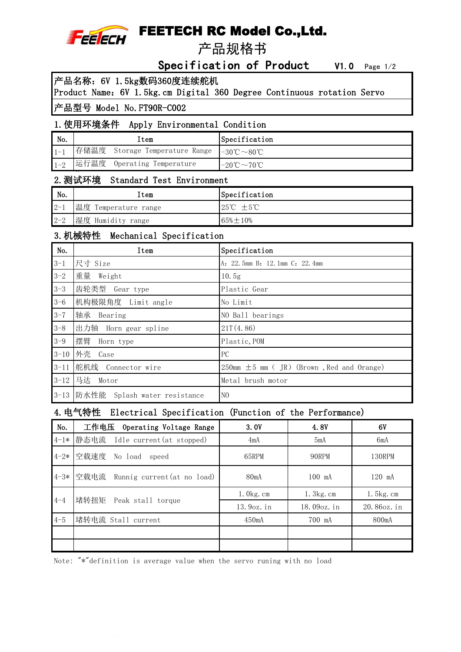

# FEETECH RC Model Co.,Ltd.

产品规格书

## Specification of Product V1.0 Page 1/2

产品名称:6V 1.5kg数码360度连续舵机

Product Name:6V 1.5kg.cm Digital 360 Degree Continuous rotation Servo

#### 产品型号 Model No.FT90R-C002

#### 1.使用环境条件 Apply Environmental Condition

| No.     | ltem                                     | Specification                                 |
|---------|------------------------------------------|-----------------------------------------------|
|         | 存储温度 Storage Temperature Range  -30℃~80℃ |                                               |
| $1 - 2$ | 运行温度 Operating Temperature               | $-20^{\circ}\text{C} \sim 70^{\circ}\text{C}$ |

# Range 2.测试环境 Standard Test Environment

| $\mathsf{No}.$ | Item                 | Specification                   |
|----------------|----------------------|---------------------------------|
| $2 - 1$        | 温度 Temperature range | $+5^{\circ}$ C<br>$25^{\circ}C$ |
| $2 - 2$        | 湿度 Humidity range    | $65\% \pm 10\%$                 |

#### 3.机械特性 Mechanical Specification

| No.      | Item                              | Specification                                                |
|----------|-----------------------------------|--------------------------------------------------------------|
| $3 - 1$  | 尺寸 Size                           | A: 22.5mm B: 12.1mm C: 22.4mm                                |
| $3 - 2$  | 重量<br>Weight                      | 10.5g                                                        |
| $3 - 3$  | 齿轮类型 Gear type                    | Plastic Gear                                                 |
| $3 - 6$  | 机构极限角度 Limit angle                | No Limit                                                     |
| $3 - 7$  | 轴承<br>Bearing                     | NO Ball bearings                                             |
| $3 - 8$  | 出力轴 Horn gear spline              | 21T(4.86)                                                    |
| $3 - 9$  | 摆臂<br>Horn type                   | Plastic, POM                                                 |
| $3 - 10$ | 外壳<br>Case                        | PC                                                           |
| $3 - 11$ | 舵机线 Connector wire                | $250 \text{mm} \pm 5 \text{mm}$ (JR) (Brown, Red and Orange) |
| $3 - 12$ | 马达 Motor                          | Metal brush motor                                            |
|          | 3-13 防水性能 Splash water resistance | N <sub>O</sub>                                               |

### 4.电气特性 Electrical Specification (Function of the Performance)

| No.     | 工作电压<br>Operating Voltage Range       | 3.0V            | 4.8V         | 6V                |
|---------|---------------------------------------|-----------------|--------------|-------------------|
|         | 4-1*  静态电流 Idle current (at stopped)  | 4mA             | 5mA          | 6mA               |
|         | 4-2* 空载速度 No load speed               | 65RPM           | 90RPM        | 130RPM            |
|         | 4-3* 空载电流 Runnig current (at no load) | 80mA            | 100 mA       | 120 mA            |
|         | 堵转扭矩                                  | $1.0kg$ . cm    | $1.3$ kg. cm | $1.5$ $kg$ . $cm$ |
| $4 - 4$ | Peak stall torque                     | $13.9$ oz. $in$ | 18.09oz.in   | 20.86oz.in        |
| $4 - 5$ | 堵转电流 Stall current                    | $450m$ A        | 700 mA       | 800mA             |
|         |                                       |                 |              |                   |
|         |                                       |                 |              |                   |

Note: "\*"definition is average value when the servo runing with no load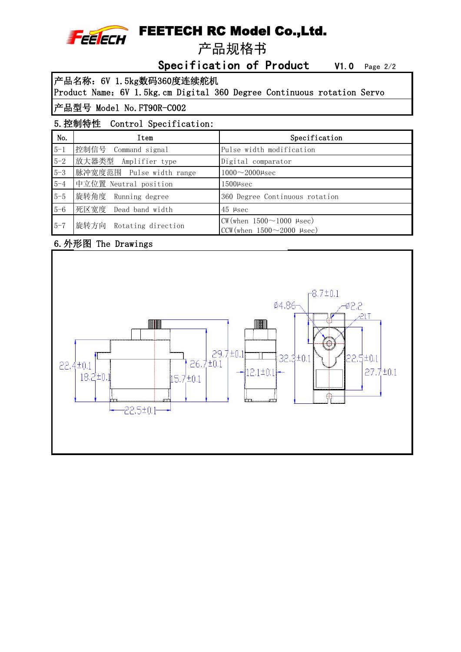

## FEETECH RC Model Co.,Ltd.

产品规格书

Specification of Product V1.0 Page 2/2

产品名称:6V 1.5kg数码360度连续舵机

Product Name:6V 1.5kg.cm Digital 360 Degree Continuous rotation Servo

### 产品型号 Model No.FT90R-C002

### 5.控制特性 Control Specification:

| No.     | Item                     | Specification                                                                               |  |  |
|---------|--------------------------|---------------------------------------------------------------------------------------------|--|--|
| $5 - 1$ | 控制信号 Command signal      | Pulse width modification                                                                    |  |  |
| $5 - 2$ | 放大器类型<br>Amplifier type  | Digital comparator                                                                          |  |  |
| $5 - 3$ | 脉冲宽度范围 Pulse width range | $1000 \sim 2000 \mu$ sec                                                                    |  |  |
| $5 - 4$ | 中立位置 Neutral position    | $1500$ µsec                                                                                 |  |  |
| $5 - 5$ | 旋转角度 Running degree      | 360 Degree Continuous rotation                                                              |  |  |
| $5 - 6$ | 死区宽度 Dead band width     | $45$ µsec                                                                                   |  |  |
| $5 - 7$ | 旋转方向 Rotating direction  | $CW(\text{when } 1500 \sim 1000 \text{ }\mu\text{sec})$<br>CCW (when $1500 \sim 2000$ µsec) |  |  |

### 6.外形图 The Drawings